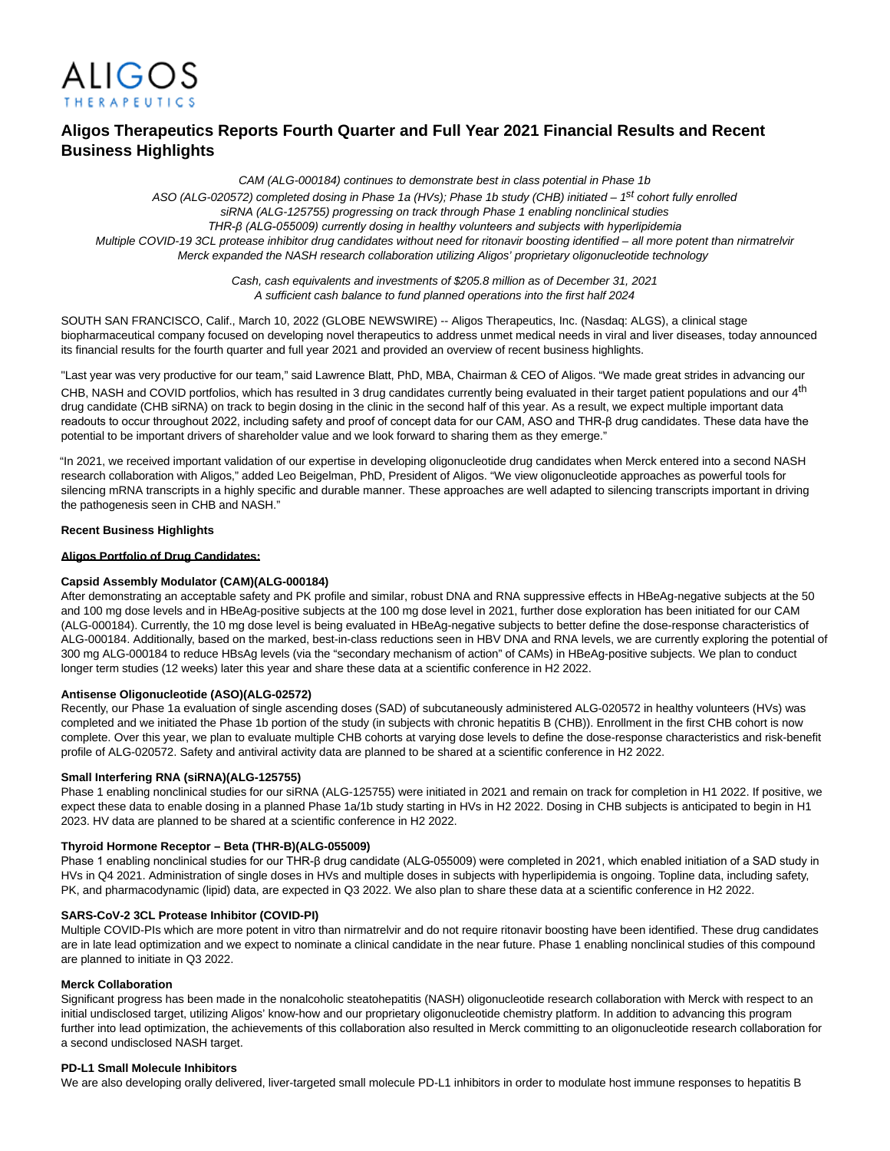

# **Aligos Therapeutics Reports Fourth Quarter and Full Year 2021 Financial Results and Recent Business Highlights**

CAM (ALG-000184) continues to demonstrate best in class potential in Phase 1b ASO (ALG-020572) completed dosing in Phase 1a (HVs); Phase 1b study (CHB) initiated - 1<sup>st</sup> cohort fully enrolled siRNA (ALG-125755) progressing on track through Phase 1 enabling nonclinical studies *THR-β (ALG-055009) currently dosing in healthy volunteers and subjects with hyperlipidemia* Multiple COVID-19 3CL protease inhibitor drug candidates without need for ritonavir boosting identified – all more potent than nirmatrelvir Merck expanded the NASH research collaboration utilizing Aligos' proprietary oligonucleotide technology

> Cash, cash equivalents and investments of \$205.8 million as of December 31, 2021 A sufficient cash balance to fund planned operations into the first half 2024

SOUTH SAN FRANCISCO, Calif., March 10, 2022 (GLOBE NEWSWIRE) -- Aligos Therapeutics, Inc. (Nasdaq: ALGS), a clinical stage biopharmaceutical company focused on developing novel therapeutics to address unmet medical needs in viral and liver diseases, today announced its financial results for the fourth quarter and full year 2021 and provided an overview of recent business highlights.

"Last year was very productive for our team," said Lawrence Blatt, PhD, MBA, Chairman & CEO of Aligos. "We made great strides in advancing our CHB, NASH and COVID portfolios, which has resulted in 3 drug candidates currently being evaluated in their target patient populations and our 4<sup>th</sup> drug candidate (CHB siRNA) on track to begin dosing in the clinic in the second half of this year. As a result, we expect multiple important data readouts to occur throughout 2022, including safety and proof of concept data for our CAM, ASO and THR-β drug candidates. These data have the potential to be important drivers of shareholder value and we look forward to sharing them as they emerge."

"In 2021, we received important validation of our expertise in developing oligonucleotide drug candidates when Merck entered into a second NASH research collaboration with Aligos," added Leo Beigelman, PhD, President of Aligos. "We view oligonucleotide approaches as powerful tools for silencing mRNA transcripts in a highly specific and durable manner. These approaches are well adapted to silencing transcripts important in driving the pathogenesis seen in CHB and NASH."

### **Recent Business Highlights**

### **Aligos Portfolio of Drug Candidates:**

### **Capsid Assembly Modulator (CAM)(ALG-000184)**

After demonstrating an acceptable safety and PK profile and similar, robust DNA and RNA suppressive effects in HBeAg-negative subjects at the 50 and 100 mg dose levels and in HBeAg-positive subjects at the 100 mg dose level in 2021, further dose exploration has been initiated for our CAM (ALG-000184). Currently, the 10 mg dose level is being evaluated in HBeAg-negative subjects to better define the dose-response characteristics of ALG-000184. Additionally, based on the marked, best-in-class reductions seen in HBV DNA and RNA levels, we are currently exploring the potential of 300 mg ALG-000184 to reduce HBsAg levels (via the "secondary mechanism of action" of CAMs) in HBeAg-positive subjects. We plan to conduct longer term studies (12 weeks) later this year and share these data at a scientific conference in H2 2022.

### **Antisense Oligonucleotide (ASO)(ALG-02572)**

Recently, our Phase 1a evaluation of single ascending doses (SAD) of subcutaneously administered ALG-020572 in healthy volunteers (HVs) was completed and we initiated the Phase 1b portion of the study (in subjects with chronic hepatitis B (CHB)). Enrollment in the first CHB cohort is now complete. Over this year, we plan to evaluate multiple CHB cohorts at varying dose levels to define the dose-response characteristics and risk-benefit profile of ALG-020572. Safety and antiviral activity data are planned to be shared at a scientific conference in H2 2022.

#### **Small Interfering RNA (siRNA)(ALG-125755)**

Phase 1 enabling nonclinical studies for our siRNA (ALG-125755) were initiated in 2021 and remain on track for completion in H1 2022. If positive, we expect these data to enable dosing in a planned Phase 1a/1b study starting in HVs in H2 2022. Dosing in CHB subjects is anticipated to begin in H1 2023. HV data are planned to be shared at a scientific conference in H2 2022.

### **Thyroid Hormone Receptor – Beta (THR-B)(ALG-055009)**

Phase 1 enabling nonclinical studies for our THR-β drug candidate (ALG-055009) were completed in 2021, which enabled initiation of a SAD study in HVs in Q4 2021. Administration of single doses in HVs and multiple doses in subjects with hyperlipidemia is ongoing. Topline data, including safety, PK, and pharmacodynamic (lipid) data, are expected in Q3 2022. We also plan to share these data at a scientific conference in H2 2022.

#### **SARS-CoV-2 3CL Protease Inhibitor (COVID-PI)**

Multiple COVID-PIs which are more potent in vitro than nirmatrelvir and do not require ritonavir boosting have been identified. These drug candidates are in late lead optimization and we expect to nominate a clinical candidate in the near future. Phase 1 enabling nonclinical studies of this compound are planned to initiate in Q3 2022.

#### **Merck Collaboration**

Significant progress has been made in the nonalcoholic steatohepatitis (NASH) oligonucleotide research collaboration with Merck with respect to an initial undisclosed target, utilizing Aligos' know-how and our proprietary oligonucleotide chemistry platform. In addition to advancing this program further into lead optimization, the achievements of this collaboration also resulted in Merck committing to an oligonucleotide research collaboration for a second undisclosed NASH target.

#### **PD-L1 Small Molecule Inhibitors**

We are also developing orally delivered, liver-targeted small molecule PD-L1 inhibitors in order to modulate host immune responses to hepatitis B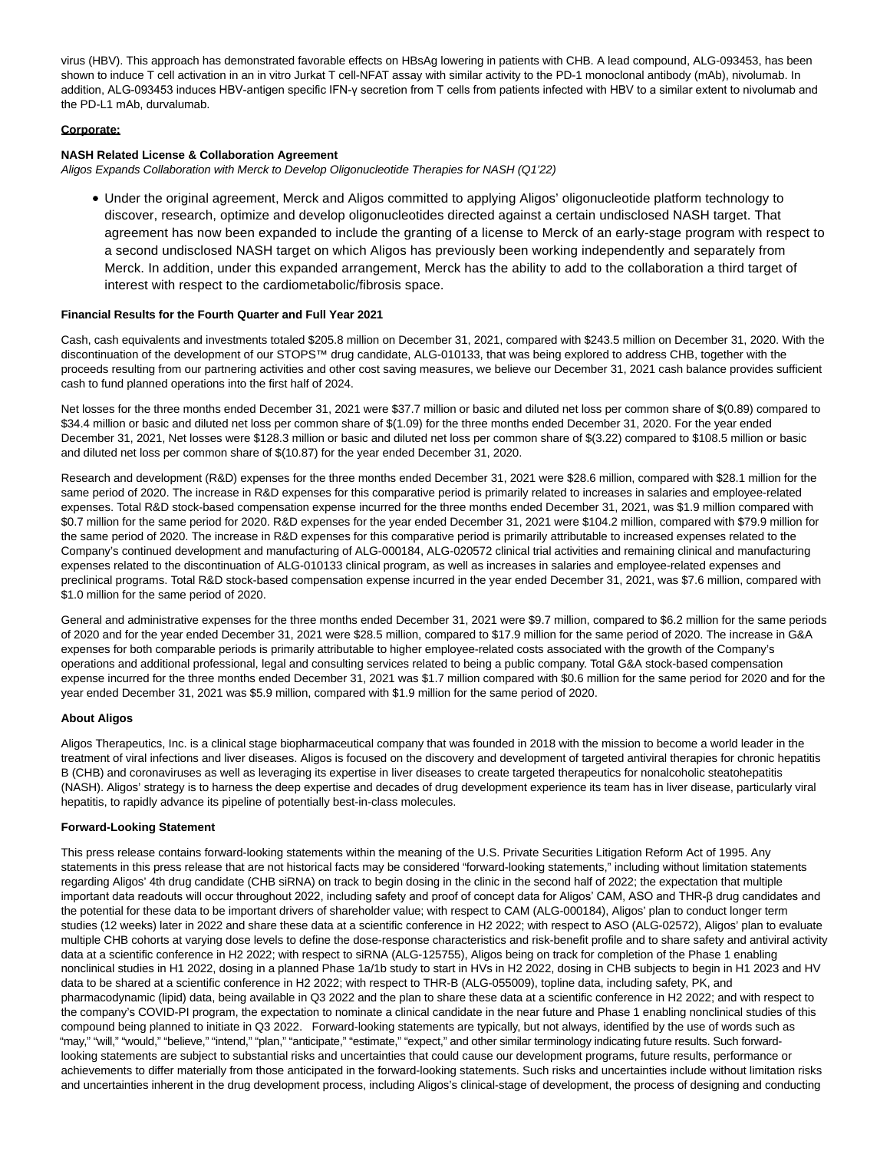virus (HBV). This approach has demonstrated favorable effects on HBsAg lowering in patients with CHB. A lead compound, ALG-093453, has been shown to induce T cell activation in an in vitro Jurkat T cell-NFAT assay with similar activity to the PD-1 monoclonal antibody (mAb), nivolumab. In addition, ALG-093453 induces HBV-antigen specific IFN-γ secretion from T cells from patients infected with HBV to a similar extent to nivolumab and the PD-L1 mAb, durvalumab.

### **Corporate:**

### **NASH Related License & Collaboration Agreement**

Aligos Expands Collaboration with Merck to Develop Oligonucleotide Therapies for NASH (Q1'22)

Under the original agreement, Merck and Aligos committed to applying Aligos' oligonucleotide platform technology to discover, research, optimize and develop oligonucleotides directed against a certain undisclosed NASH target. That agreement has now been expanded to include the granting of a license to Merck of an early-stage program with respect to a second undisclosed NASH target on which Aligos has previously been working independently and separately from Merck. In addition, under this expanded arrangement, Merck has the ability to add to the collaboration a third target of interest with respect to the cardiometabolic/fibrosis space.

### **Financial Results for the Fourth Quarter and Full Year 2021**

Cash, cash equivalents and investments totaled \$205.8 million on December 31, 2021, compared with \$243.5 million on December 31, 2020. With the discontinuation of the development of our STOPS™ drug candidate, ALG-010133, that was being explored to address CHB, together with the proceeds resulting from our partnering activities and other cost saving measures, we believe our December 31, 2021 cash balance provides sufficient cash to fund planned operations into the first half of 2024.

Net losses for the three months ended December 31, 2021 were \$37.7 million or basic and diluted net loss per common share of \$(0.89) compared to \$34.4 million or basic and diluted net loss per common share of \$(1.09) for the three months ended December 31, 2020. For the year ended December 31, 2021, Net losses were \$128.3 million or basic and diluted net loss per common share of \$(3.22) compared to \$108.5 million or basic and diluted net loss per common share of \$(10.87) for the year ended December 31, 2020.

Research and development (R&D) expenses for the three months ended December 31, 2021 were \$28.6 million, compared with \$28.1 million for the same period of 2020. The increase in R&D expenses for this comparative period is primarily related to increases in salaries and employee-related expenses. Total R&D stock-based compensation expense incurred for the three months ended December 31, 2021, was \$1.9 million compared with \$0.7 million for the same period for 2020. R&D expenses for the year ended December 31, 2021 were \$104.2 million, compared with \$79.9 million for the same period of 2020. The increase in R&D expenses for this comparative period is primarily attributable to increased expenses related to the Company's continued development and manufacturing of ALG-000184, ALG-020572 clinical trial activities and remaining clinical and manufacturing expenses related to the discontinuation of ALG-010133 clinical program, as well as increases in salaries and employee-related expenses and preclinical programs. Total R&D stock-based compensation expense incurred in the year ended December 31, 2021, was \$7.6 million, compared with \$1.0 million for the same period of 2020.

General and administrative expenses for the three months ended December 31, 2021 were \$9.7 million, compared to \$6.2 million for the same periods of 2020 and for the year ended December 31, 2021 were \$28.5 million, compared to \$17.9 million for the same period of 2020. The increase in G&A expenses for both comparable periods is primarily attributable to higher employee-related costs associated with the growth of the Company's operations and additional professional, legal and consulting services related to being a public company. Total G&A stock-based compensation expense incurred for the three months ended December 31, 2021 was \$1.7 million compared with \$0.6 million for the same period for 2020 and for the year ended December 31, 2021 was \$5.9 million, compared with \$1.9 million for the same period of 2020.

### **About Aligos**

Aligos Therapeutics, Inc. is a clinical stage biopharmaceutical company that was founded in 2018 with the mission to become a world leader in the treatment of viral infections and liver diseases. Aligos is focused on the discovery and development of targeted antiviral therapies for chronic hepatitis B (CHB) and coronaviruses as well as leveraging its expertise in liver diseases to create targeted therapeutics for nonalcoholic steatohepatitis (NASH). Aligos' strategy is to harness the deep expertise and decades of drug development experience its team has in liver disease, particularly viral hepatitis, to rapidly advance its pipeline of potentially best-in-class molecules.

### **Forward-Looking Statement**

This press release contains forward-looking statements within the meaning of the U.S. Private Securities Litigation Reform Act of 1995. Any statements in this press release that are not historical facts may be considered "forward-looking statements," including without limitation statements regarding Aligos' 4th drug candidate (CHB siRNA) on track to begin dosing in the clinic in the second half of 2022; the expectation that multiple important data readouts will occur throughout 2022, including safety and proof of concept data for Aligos' CAM, ASO and THR-β drug candidates and the potential for these data to be important drivers of shareholder value; with respect to CAM (ALG-000184), Aligos' plan to conduct longer term studies (12 weeks) later in 2022 and share these data at a scientific conference in H2 2022; with respect to ASO (ALG-02572), Aligos' plan to evaluate multiple CHB cohorts at varying dose levels to define the dose-response characteristics and risk-benefit profile and to share safety and antiviral activity data at a scientific conference in H2 2022; with respect to siRNA (ALG-125755), Aligos being on track for completion of the Phase 1 enabling nonclinical studies in H1 2022, dosing in a planned Phase 1a/1b study to start in HVs in H2 2022, dosing in CHB subjects to begin in H1 2023 and HV data to be shared at a scientific conference in H2 2022; with respect to THR-B (ALG-055009), topline data, including safety, PK, and pharmacodynamic (lipid) data, being available in Q3 2022 and the plan to share these data at a scientific conference in H2 2022; and with respect to the company's COVID-PI program, the expectation to nominate a clinical candidate in the near future and Phase 1 enabling nonclinical studies of this compound being planned to initiate in Q3 2022. Forward-looking statements are typically, but not always, identified by the use of words such as "may," "will," "would," "believe," "intend," "plan," "anticipate," "estimate," "expect," and other similar terminology indicating future results. Such forwardlooking statements are subject to substantial risks and uncertainties that could cause our development programs, future results, performance or achievements to differ materially from those anticipated in the forward-looking statements. Such risks and uncertainties include without limitation risks and uncertainties inherent in the drug development process, including Aligos's clinical-stage of development, the process of designing and conducting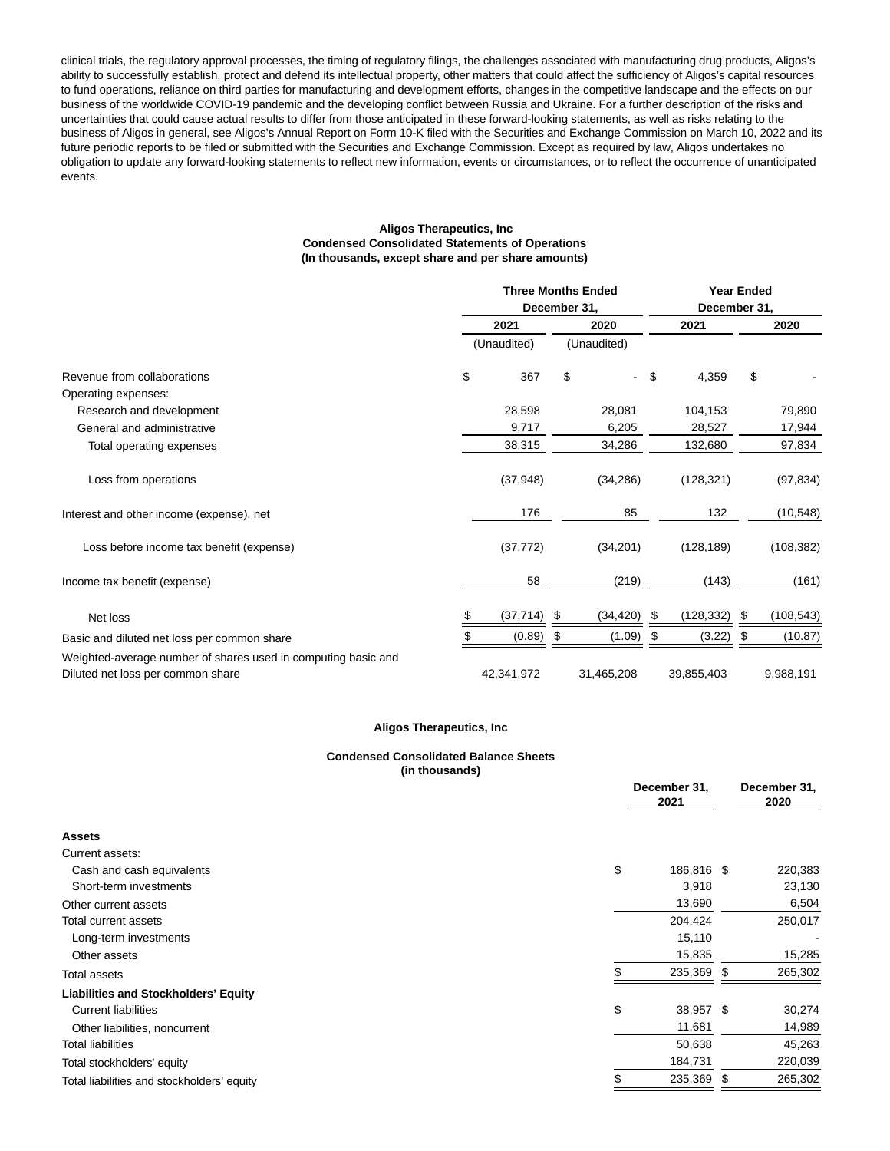clinical trials, the regulatory approval processes, the timing of regulatory filings, the challenges associated with manufacturing drug products, Aligos's ability to successfully establish, protect and defend its intellectual property, other matters that could affect the sufficiency of Aligos's capital resources to fund operations, reliance on third parties for manufacturing and development efforts, changes in the competitive landscape and the effects on our business of the worldwide COVID-19 pandemic and the developing conflict between Russia and Ukraine. For a further description of the risks and uncertainties that could cause actual results to differ from those anticipated in these forward-looking statements, as well as risks relating to the business of Aligos in general, see Aligos's Annual Report on Form 10-K filed with the Securities and Exchange Commission on March 10, 2022 and its future periodic reports to be filed or submitted with the Securities and Exchange Commission. Except as required by law, Aligos undertakes no obligation to update any forward-looking statements to reflect new information, events or circumstances, or to reflect the occurrence of unanticipated events.

#### **Aligos Therapeutics, Inc Condensed Consolidated Statements of Operations (In thousands, except share and per share amounts)**

|                                                               | <b>Three Months Ended</b> |                              |      |                          | <b>Year Ended</b> |            |      |            |
|---------------------------------------------------------------|---------------------------|------------------------------|------|--------------------------|-------------------|------------|------|------------|
|                                                               |                           | December 31,<br>December 31, |      |                          |                   |            |      |            |
|                                                               |                           | 2021                         |      | 2020                     | 2021              |            | 2020 |            |
|                                                               |                           | (Unaudited)                  |      | (Unaudited)              |                   |            |      |            |
| Revenue from collaborations                                   | \$                        | 367                          | \$   | $\overline{\phantom{0}}$ | $\sqrt{2}$        | 4,359      | \$   |            |
| Operating expenses:                                           |                           |                              |      |                          |                   |            |      |            |
| Research and development                                      |                           | 28,598                       |      | 28,081                   |                   | 104,153    |      | 79,890     |
| General and administrative                                    |                           | 9,717                        |      | 6,205                    |                   | 28,527     |      | 17,944     |
| Total operating expenses                                      |                           | 38,315                       |      | 34,286                   |                   | 132,680    |      | 97,834     |
| Loss from operations                                          |                           | (37, 948)                    |      | (34, 286)                |                   | (128, 321) |      | (97, 834)  |
| Interest and other income (expense), net                      |                           | 176                          |      | 85                       |                   | 132        |      | (10, 548)  |
| Loss before income tax benefit (expense)                      |                           | (37, 772)                    |      | (34,201)                 |                   | (128, 189) |      | (108, 382) |
| Income tax benefit (expense)                                  |                           | 58                           |      | (219)                    |                   | (143)      |      | (161)      |
| Net loss                                                      |                           | (37, 714)                    | - \$ | (34, 420)                | \$                | (128, 332) | S    | (108, 543) |
| Basic and diluted net loss per common share                   |                           | (0.89)                       | S    | (1.09)                   | \$                | (3.22)     | \$   | (10.87)    |
| Weighted-average number of shares used in computing basic and |                           |                              |      |                          |                   |            |      |            |
| Diluted net loss per common share                             |                           | 42,341,972                   |      | 31,465,208               |                   | 39,855,403 |      | 9,988,191  |

### **Aligos Therapeutics, Inc**

### **Condensed Consolidated Balance Sheets (in thousands)**

|                                             | December 31,<br>2021 |    | December 31,<br>2020 |  |
|---------------------------------------------|----------------------|----|----------------------|--|
| <b>Assets</b>                               |                      |    |                      |  |
| Current assets:                             |                      |    |                      |  |
| Cash and cash equivalents                   | \$<br>186,816 \$     |    | 220,383              |  |
| Short-term investments                      | 3,918                |    | 23,130               |  |
| Other current assets                        | 13,690               |    | 6,504                |  |
| Total current assets                        | 204,424              |    | 250,017              |  |
| Long-term investments                       | 15,110               |    |                      |  |
| Other assets                                | 15,835               |    | 15,285               |  |
| <b>Total assets</b>                         | 235,369              | S. | 265,302              |  |
| <b>Liabilities and Stockholders' Equity</b> |                      |    |                      |  |
| <b>Current liabilities</b>                  | \$<br>38,957 \$      |    | 30,274               |  |
| Other liabilities, noncurrent               | 11,681               |    | 14,989               |  |
| <b>Total liabilities</b>                    | 50,638               |    | 45,263               |  |
| Total stockholders' equity                  | 184,731              |    | 220,039              |  |
| Total liabilities and stockholders' equity  | 235,369              | \$ | 265,302              |  |
|                                             |                      |    |                      |  |